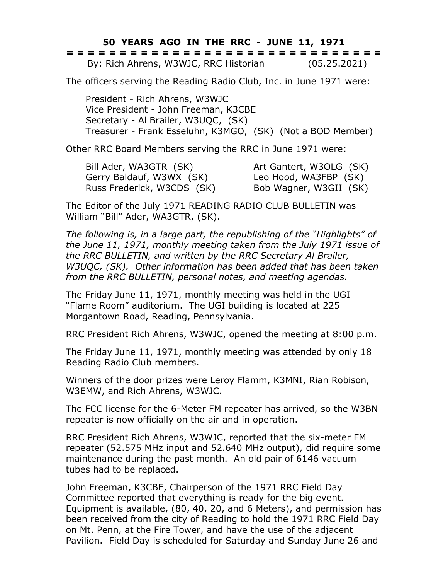**50 YEARS AGO IN THE RRC - JUNE 11, 1971**

|  | ------------------------------<br>------------------------------ |  |  |  |  |  |  |  |  |  |  |  |  |              |  |
|--|------------------------------------------------------------------|--|--|--|--|--|--|--|--|--|--|--|--|--------------|--|
|  | By: Rich Ahrens, W3WJC, RRC Historian                            |  |  |  |  |  |  |  |  |  |  |  |  | (05.25.2021) |  |

The officers serving the Reading Radio Club, Inc. in June 1971 were:

President - Rich Ahrens, W3WJC Vice President - John Freeman, K3CBE Secretary - Al Brailer, W3UQC, (SK) Treasurer - Frank Esseluhn, K3MGO, (SK) (Not a BOD Member)

Other RRC Board Members serving the RRC in June 1971 were:

Bill Ader, WA3GTR (SK) Art Gantert, W3OLG (SK) Gerry Baldauf, W3WX (SK) Leo Hood, WA3FBP (SK) Russ Frederick, W3CDS (SK) Bob Wagner, W3GII (SK)

The Editor of the July 1971 READING RADIO CLUB BULLETIN was William "Bill" Ader, WA3GTR, (SK).

*The following is, in a large part, the republishing of the "Highlights" of the June 11, 1971, monthly meeting taken from the July 1971 issue of the RRC BULLETIN, and written by the RRC Secretary Al Brailer, W3UQC, (SK). Other information has been added that has been taken from the RRC BULLETIN, personal notes, and meeting agendas.*

The Friday June 11, 1971, monthly meeting was held in the UGI "Flame Room" auditorium. The UGI building is located at 225 Morgantown Road, Reading, Pennsylvania.

RRC President Rich Ahrens, W3WJC, opened the meeting at 8:00 p.m.

The Friday June 11, 1971, monthly meeting was attended by only 18 Reading Radio Club members.

Winners of the door prizes were Leroy Flamm, K3MNI, Rian Robison, W3EMW, and Rich Ahrens, W3WJC.

The FCC license for the 6-Meter FM repeater has arrived, so the W3BN repeater is now officially on the air and in operation.

RRC President Rich Ahrens, W3WJC, reported that the six-meter FM repeater (52.575 MHz input and 52.640 MHz output), did require some maintenance during the past month. An old pair of 6146 vacuum tubes had to be replaced.

John Freeman, K3CBE, Chairperson of the 1971 RRC Field Day Committee reported that everything is ready for the big event. Equipment is available, (80, 40, 20, and 6 Meters), and permission has been received from the city of Reading to hold the 1971 RRC Field Day on Mt. Penn, at the Fire Tower, and have the use of the adjacent Pavilion. Field Day is scheduled for Saturday and Sunday June 26 and